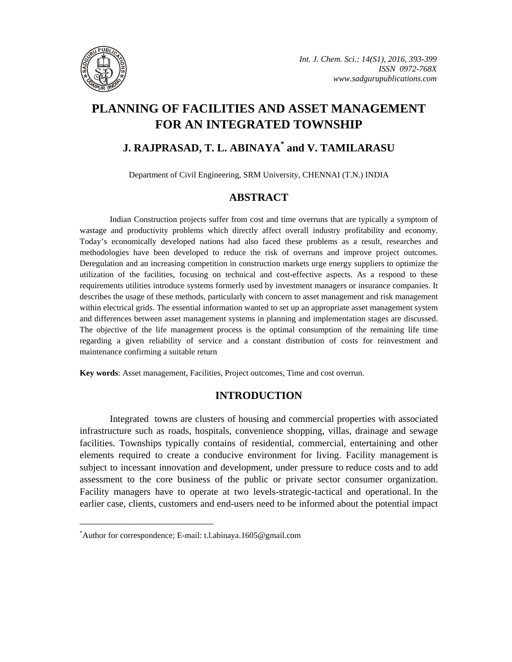

# **PLANNING OF FACILITIES AND ASSET MANAGEMENT FOR AN INTEGRATED TOWNSHIP**

# **J. RAJPRASAD, T. L. ABINAYA\* and V. TAMILARASU**

Department of Civil Engineering, SRM University, CHENNAI (T.N.) INDIA

# **ABSTRACT**

Indian Construction projects suffer from cost and time overruns that are typically a symptom of wastage and productivity problems which directly affect overall industry profitability and economy. Today's economically developed nations had also faced these problems as a result, researches and methodologies have been developed to reduce the risk of overruns and improve project outcomes. Deregulation and an increasing competition in construction markets urge energy suppliers to optimize the utilization of the facilities, focusing on technical and cost-effective aspects. As a respond to these requirements utilities introduce systems formerly used by investment managers or insurance companies. It describes the usage of these methods, particularly with concern to asset management and risk management within electrical grids. The essential information wanted to set up an appropriate asset management system and differences between asset management systems in planning and implementation stages are discussed. The objective of the life management process is the optimal consumption of the remaining life time regarding a given reliability of service and a constant distribution of costs for reinvestment and maintenance confirming a suitable return

**Key words**: Asset management, Facilities, Project outcomes, Time and cost overrun.

# **INTRODUCTION**

Integrated towns are clusters of housing and commercial properties with associated infrastructure such as roads, hospitals, convenience shopping, villas, drainage and sewage facilities. Townships typically contains of residential, commercial, entertaining and other elements required to create a conducive environment for living. Facility management is subject to incessant innovation and development, under pressure to reduce costs and to add assessment to the core business of the public or private sector consumer organization. Facility managers have to operate at two levels-strategic-tactical and operational. In the earlier case, clients, customers and end-users need to be informed about the potential impact

**\_\_\_\_\_\_\_\_\_\_\_\_\_\_\_\_\_\_\_\_\_\_\_\_\_\_\_\_\_\_\_\_\_\_\_\_\_\_\_\_**

<sup>\*</sup> Author for correspondence; E-mail: t.l.abinaya.1605@gmail.com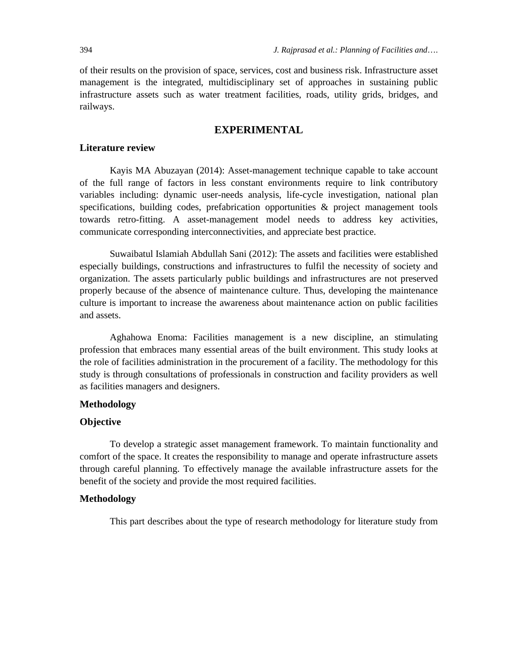of their results on the provision of space, services, cost and business risk. Infrastructure asset management is the integrated, multidisciplinary set of approaches in sustaining public infrastructure assets such as water treatment facilities, roads, utility grids, bridges, and railways.

## **EXPERIMENTAL**

#### **Literature review**

Kayis MA Abuzayan (2014): Asset-management technique capable to take account of the full range of factors in less constant environments require to link contributory variables including: dynamic user-needs analysis, life-cycle investigation, national plan specifications, building codes, prefabrication opportunities & project management tools towards retro-fitting. A asset-management model needs to address key activities, communicate corresponding interconnectivities, and appreciate best practice.

Suwaibatul Islamiah Abdullah Sani (2012): The assets and facilities were established especially buildings, constructions and infrastructures to fulfil the necessity of society and organization. The assets particularly public buildings and infrastructures are not preserved properly because of the absence of maintenance culture. Thus, developing the maintenance culture is important to increase the awareness about maintenance action on public facilities and assets.

Aghahowa Enoma: Facilities management is a new discipline, an stimulating profession that embraces many essential areas of the built environment. This study looks at the role of facilities administration in the procurement of a facility. The methodology for this study is through consultations of professionals in construction and facility providers as well as facilities managers and designers.

### **Methodology**

#### **Objective**

To develop a strategic asset management framework. To maintain functionality and comfort of the space. It creates the responsibility to manage and operate infrastructure assets through careful planning. To effectively manage the available infrastructure assets for the benefit of the society and provide the most required facilities.

#### **Methodology**

This part describes about the type of research methodology for literature study from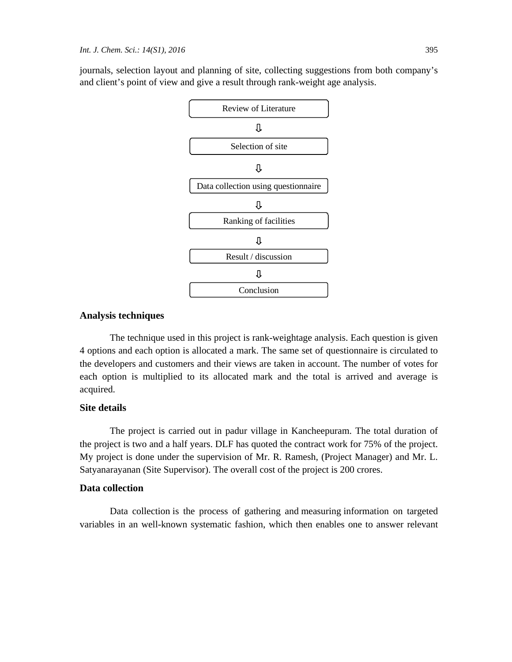journals, selection layout and planning of site, collecting suggestions from both company's and client's point of view and give a result through rank-weight age analysis.



### **Analysis techniques**

The technique used in this project is rank-weightage analysis. Each question is given 4 options and each option is allocated a mark. The same set of questionnaire is circulated to the developers and customers and their views are taken in account. The number of votes for each option is multiplied to its allocated mark and the total is arrived and average is acquired.

### **Site details**

The project is carried out in padur village in Kancheepuram. The total duration of the project is two and a half years. DLF has quoted the contract work for 75% of the project. My project is done under the supervision of Mr. R. Ramesh, (Project Manager) and Mr. L. Satyanarayanan (Site Supervisor). The overall cost of the project is 200 crores.

#### **Data collection**

Data collection is the process of gathering and measuring information on targeted variables in an well-known systematic fashion, which then enables one to answer relevant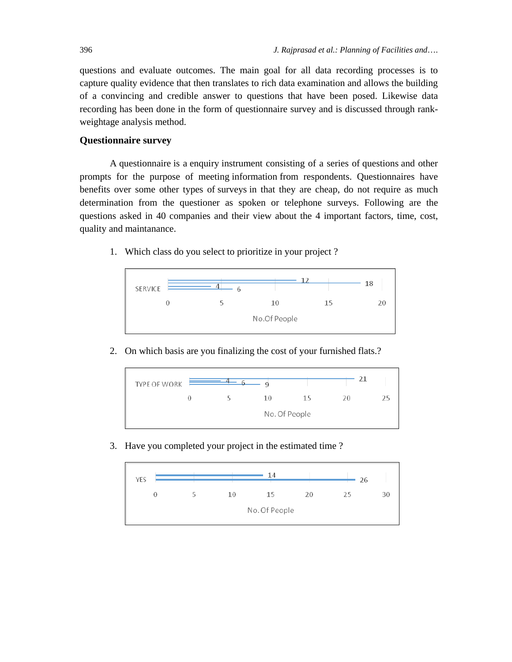questions and evaluate outcomes. The main goal for all data recording processes is to capture quality evidence that then translates to rich data examination and allows the building of a convincing and credible answer to questions that have been posed. Likewise data recording has been done in the form of questionnaire survey and is discussed through rankweightage analysis method.

### **Questionnaire survey**

A questionnaire is a enquiry instrument consisting of a series of questions and other prompts for the purpose of meeting information from respondents. Questionnaires have benefits over some other types of surveys in that they are cheap, do not require as much determination from the questioner as spoken or telephone surveys. Following are the questions asked in 40 companies and their view about the 4 important factors, time, cost, quality and maintanance.

1. Which class do you select to prioritize in your project ?



2. On which basis are you finalizing the cost of your furnished flats.?



3. Have you completed your project in the estimated time ?

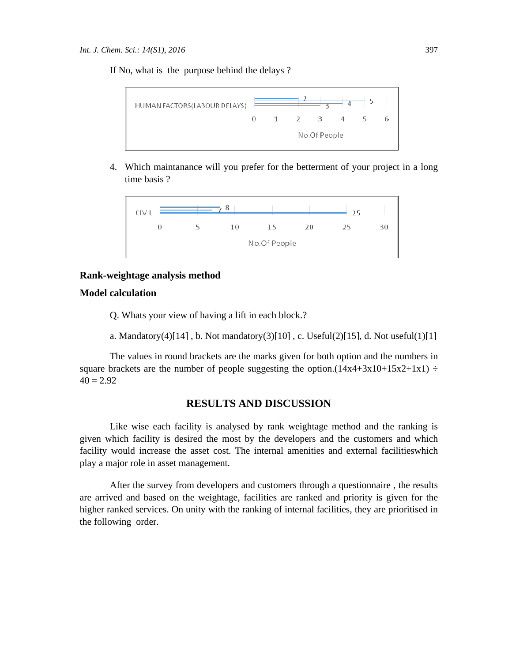If No, what is the purpose behind the delays ?



4. Which maintanance will you prefer for the betterment of your project in a long time basis ?



### **Rank-weightage analysis method**

### **Model calculation**

Q. Whats your view of having a lift in each block.?

a. Mandatory(4)[14], b. Not mandatory(3)[10], c. Useful(2)[15], d. Not useful(1)[1]

The values in round brackets are the marks given for both option and the numbers in square brackets are the number of people suggesting the option. $(14x4+3x10+15x2+1x1) \div$  $40 = 2.92$ 

#### **RESULTS AND DISCUSSION**

Like wise each facility is analysed by rank weightage method and the ranking is given which facility is desired the most by the developers and the customers and which facility would increase the asset cost. The internal amenities and external facilitieswhich play a major role in asset management.

After the survey from developers and customers through a questionnaire , the results are arrived and based on the weightage, facilities are ranked and priority is given for the higher ranked services. On unity with the ranking of internal facilities, they are prioritised in the following order.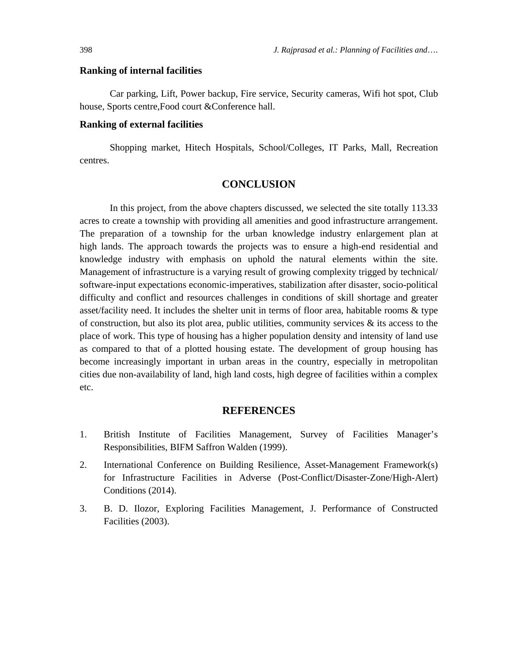#### **Ranking of internal facilities**

Car parking, Lift, Power backup, Fire service, Security cameras, Wifi hot spot, Club house, Sports centre,Food court &Conference hall.

#### **Ranking of external facilities**

Shopping market, Hitech Hospitals, School/Colleges, IT Parks, Mall, Recreation centres.

## **CONCLUSION**

In this project, from the above chapters discussed, we selected the site totally 113.33 acres to create a township with providing all amenities and good infrastructure arrangement. The preparation of a township for the urban knowledge industry enlargement plan at high lands. The approach towards the projects was to ensure a high-end residential and knowledge industry with emphasis on uphold the natural elements within the site. Management of infrastructure is a varying result of growing complexity trigged by technical/ software-input expectations economic-imperatives, stabilization after disaster, socio-political difficulty and conflict and resources challenges in conditions of skill shortage and greater asset/facility need. It includes the shelter unit in terms of floor area, habitable rooms & type of construction, but also its plot area, public utilities, community services  $\&$  its access to the place of work. This type of housing has a higher population density and intensity of land use as compared to that of a plotted housing estate. The development of group housing has become increasingly important in urban areas in the country, especially in metropolitan cities due non-availability of land, high land costs, high degree of facilities within a complex etc.

## **REFERENCES**

- 1. British Institute of Facilities Management, Survey of Facilities Manager's Responsibilities, BIFM Saffron Walden (1999).
- 2. International Conference on Building Resilience, Asset-Management Framework(s) for Infrastructure Facilities in Adverse (Post-Conflict/Disaster-Zone/High-Alert) Conditions (2014).
- 3. B. D. Ilozor, Exploring Facilities Management, J. Performance of Constructed Facilities (2003).